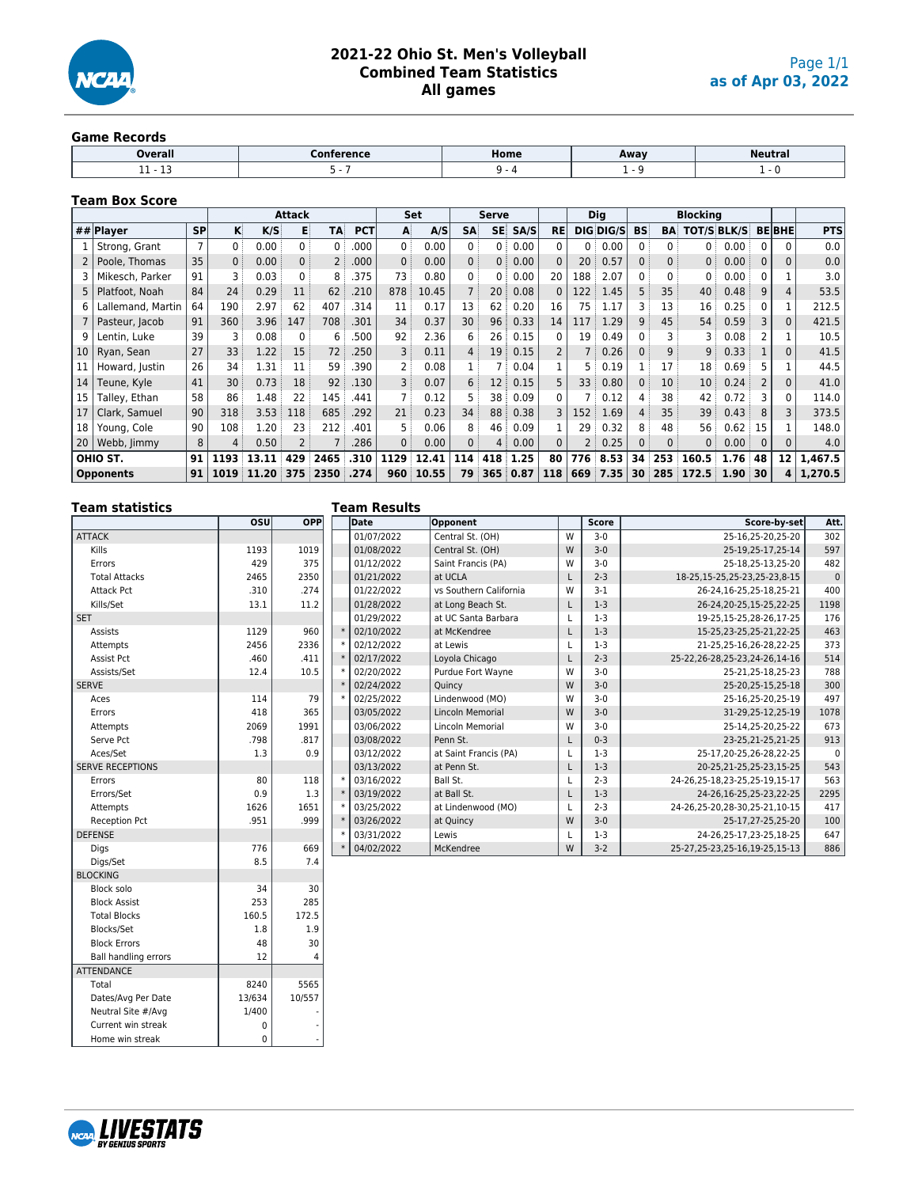

#### **Game Records**

| <b>Overall</b> | Home | Away | Neutra. |
|----------------|------|------|---------|
| .<br>--<br>__  |      |      |         |

## **Team Box Score**

|                 |                   |                |                 |           | <b>Attack</b>  |                |            |                | <b>Set</b> |                   | Serve           |          |           |                 | <b>Dig</b> | <b>Blocking</b> |                 |                 |                   |             |               |            |
|-----------------|-------------------|----------------|-----------------|-----------|----------------|----------------|------------|----------------|------------|-------------------|-----------------|----------|-----------|-----------------|------------|-----------------|-----------------|-----------------|-------------------|-------------|---------------|------------|
|                 | ## $Plaver$       | <b>SP</b>      | κİ              | K/S       | в              | TA:            | <b>PCT</b> | A              | A/S        | <b>SA</b>         | SE:             | SA/S     | <b>RE</b> |                 | DIS DIS/S  | <b>BS:</b>      | <b>BA</b>       | TOT/S BLK/S     |                   |             | <b>BE BHE</b> | <b>PTS</b> |
|                 | Strong, Grant     | $\overline{7}$ | 0:              | 0.00      | 0:             | 0:             | .000       | 0:             | 0.00       | 0:                | $0$ :           | 0.00     | 0         | $0$ :           | 0.00       | $\Omega$ :      | $0$ :           | 0               | 0.00              |             | 0             | 0.0        |
| 2               | Poole, Thomas     | 35             | 0               | 0.00      | 0              | $\overline{2}$ | .000       | $\overline{0}$ | 0.00       | 0:                | 0:              | 0.00     | $\Omega$  | 20              | 0.57       | $\mathbf{0}$    | $0$ :           | 0:              | 0.00              | $\mathbf 0$ | $\Omega$      | 0.0        |
|                 | Mikesch, Parker   | 91             |                 | 0.03      | 0 <sup>3</sup> | 8              | .375       | 73             | 0.80       | 0                 | 0 <sup>3</sup>  | 0.00     | 20        | 188             | 2.07       | 0               | $\Omega$        | 0               | 0.00              |             |               | 3.0        |
| 5               | Platfoot, Noah    | 84             | 24              | 0.29      | 11             | 62             | .210       | 878            | 10.45      |                   | 20:             | 0.08     | 0         | 122             | 1.45       | 5               | 35              | 40              | 0.48              | 9           | 4             | 53.5       |
| 6               | Lallemand, Martin | 64             | 190             | 2.97      | 62             | 407            | 314        | 11             | 0.17       | 13                | 62              | 0.20     | 16        | 75 :            | 1.17       | 3 :             | 13              | 16              | 0.25              | ი           |               | 212.5      |
|                 | Pasteur, Jacob    | 91             | 360             | 3.96      | 147            | 708            | 301        | 34             | 0.37       | 30 <sup>3</sup>   | 96:             | 0.33     | 14        | 117             | 1.29       | 9               | 45              | 54:             | 0.59              | 3           | $\Omega$      | 421.5      |
| 9               | Lentin. Luke      | 39             | 3               | 0.08      | $\mathbf{0}$   | 6              | 500        | 92             | 2.36       | 6                 | 26              | 0.15     | 0         | 19:             | 0.49       | 0               | 3               | 3               | 0.08              | 2           |               | 10.5       |
| 10 <sup>°</sup> | Ryan, Sean        | 27             | 33 <sup>3</sup> | 1.22      | 15             | 72             | .250       | 3              | 0.11       | 4:                | 19:             | 0.15     |           | 7 i             | 0.26       | $\Omega$        | 9:              | 9               | 0.33              |             | $\Omega$      | 41.5       |
| 11              | Howard, Justin    | 26             | 34              | 1.31      | 11             | 59             | .390       | 2              | 0.08       |                   |                 | 0.04     |           | 5 :             | 0.19       |                 | 17              | 18              | 0.69              |             |               | 44.5       |
| 14              | Teune, Kyle       | 41             | 30              | 0.73      | 18             | 92             | .130       | 3              | 0.07       | $6^{\frac{1}{3}}$ | 12 <sup>1</sup> | 0.15     | 5         | 33 <sup>1</sup> | 0.80       | $\mathbf{0}$    | 10 <sup>°</sup> | 10 <sup>3</sup> | 0.24              | 2           | $\Omega$      | 41.0       |
| 15              | Talley, Ethan     | 58             | 86              | 1.48      | 22             | 145            | .441       | 7 <sub>1</sub> | 0.12       | 5                 | 38              | 0.09     | O.        | 7 :             | 0.12       | 4               | 38              | 42              | 0.72              |             | 0             | 114.0      |
| 17              | Clark, Samuel     | 90             | 318             | 3.53      | 118            | 685            | .292       | 21             | 0.23       | 34                | 88              | 0.38     | 3         | 152             | 1.69       | 4               | 35              | 39              | 0.43              | 8           |               | 373.5      |
| 18              | Young, Cole       | 90             | 108             | 1.20      | 23             | 212            | .401       | 5.             | 0.06       | 8                 | 46              | 0.09     |           | 29              | 0.32       | 8               | 48              | 56              | 0.62              | 15          |               | 148.0      |
| 20              | Webb, Jimmy       | 8              | 4               | 0.50      | 2 <sup>1</sup> |                | .286       | 0              | 0.00       | $0$ :             | 4:              | 0.00     | $\Omega$  |                 | 0.25       |                 | 0               | $\mathbf{0}$    | 0.00              | $\Omega$    | $\Omega$      | 4.0        |
|                 | OHIO ST.          | 91             | 1193            | 13.11     | 429            | 2465           | .310       | 1129           | 12.41      | 114               | 418             | 1.25     | 80        |                 | 776 8.53   | 34              | 253             | 160.5           | 1.76 <sup>°</sup> | 48          | 12            | 1,467.5    |
|                 | <b>Opponents</b>  | 91             | 1019            | : 11.20 : | 375            | 2350           | .274       | 960            | 10.55      | 79                |                 | 365 0.87 | 118       | 669             | 17.35      | 30 <sup>1</sup> |                 | 285:172.5       | 1.90:30           |             | 4             | 1,270.5    |

# **Team statistics**

#### **Team Results**

| ו כסווו אנטוגונג        |      |            | Team Results |                         |   |              |                                   |              |
|-------------------------|------|------------|--------------|-------------------------|---|--------------|-----------------------------------|--------------|
|                         | osu  | <b>OPP</b> | Date         | Opponent                |   | <b>Score</b> | Score-by-set                      | Att.         |
| <b>ATTACK</b>           |      |            | 01/07/2022   | Central St. (OH)        | W | $3-0$        | 25-16,25-20,25-20                 | 302          |
| Kills                   | 1193 | 1019       | 01/08/2022   | Central St. (OH)        | W | $3-0$        | 25-19.25-17.25-14                 | 597          |
| Errors                  | 429  | 375        | 01/12/2022   | Saint Francis (PA)      | W | $3-0$        | 25-18.25-13.25-20                 | 482          |
| <b>Total Attacks</b>    | 2465 | 2350       | 01/21/2022   | at UCLA                 |   | $2 - 3$      | 18-25, 15-25, 25-23, 25-23, 8-15  | $\mathbf{0}$ |
| <b>Attack Pct</b>       | .310 | .274       | 01/22/2022   | vs Southern California  | W | $3 - 1$      | 26-24, 16-25, 25-18, 25-21        | 400          |
| Kills/Set               | 13.1 | 11.2       | 01/28/2022   | at Long Beach St.       | L | $1-3$        | 26-24, 20-25, 15-25, 22-25        | 1198         |
| <b>SET</b>              |      |            | 01/29/2022   | at UC Santa Barbara     |   | $1-3$        | 19-25.15-25.28-26.17-25           | 176          |
| Assists                 | 1129 | 960        | 02/10/2022   | at McKendree            |   | $1-3$        | 15-25,23-25,25-21,22-25           | 463          |
| Attempts                | 2456 | 2336       | 02/12/2022   | at Lewis                |   | $1-3$        | 21-25,25-16,26-28,22-25           | 373          |
| Assist Pct              | .460 | .411       | 02/17/2022   | Loyola Chicago          |   | $2 - 3$      | 25-22, 26-28, 25-23, 24-26, 14-16 | 514          |
| Assists/Set             | 12.4 | 10.5       | 02/20/2022   | Purdue Fort Wayne       | W | $3-0$        | 25-21.25-18.25-23                 | 788          |
| <b>SERVE</b>            |      |            | 02/24/2022   | Quincy                  | W | $3 - 0$      | 25-20, 25-15, 25-18               | 300          |
| Aces                    | 114  | 79         | 02/25/2022   | Lindenwood (MO)         | W | $3-0$        | 25-16.25-20.25-19                 | 497          |
| Errors                  | 418  | 365        | 03/05/2022   | <b>Lincoln Memorial</b> | W | $3 - 0$      | 31-29,25-12,25-19                 | 1078         |
| Attempts                | 2069 | 1991       | 03/06/2022   | <b>Lincoln Memorial</b> | W | $3-0$        | 25-14,25-20,25-22                 | 673          |
| Serve Pct               | .798 | .817       | 03/08/2022   | Penn St.                |   | $0 - 3$      | 23-25, 21-25, 21-25               | 913          |
| Aces/Set                | 1.3  | 0.9        | 03/12/2022   | at Saint Francis (PA)   |   | $1-3$        | 25-17,20-25,26-28,22-25           | $\Omega$     |
| <b>SERVE RECEPTIONS</b> |      |            | 03/13/2022   | at Penn St.             |   | $1-3$        | 20-25, 21-25, 25-23, 15-25        | 543          |
| Errors                  | 80   | 118        | 03/16/2022   | Ball St.                |   | $2 - 3$      | 24-26.25-18.23-25.25-19.15-17     | 563          |
| Errors/Set              | 0.9  | 1.3        | 03/19/2022   | at Ball St.             |   | $1-3$        | 24-26,16-25,25-23,22-25           | 2295         |
| Attempts                | 1626 | 1651       | 03/25/2022   | at Lindenwood (MO)      |   | $2 - 3$      | 24-26,25-20,28-30,25-21,10-15     | 417          |
| Reception Pct           | .951 | .999       | 03/26/2022   | at Quincy               | W | $3 - 0$      | 25-17,27-25,25-20                 | 100          |
| <b>DEFENSE</b>          |      |            | 03/31/2022   | Lewis                   |   | $1-3$        | 24-26, 25-17, 23-25, 18-25        | 647          |
| Dias                    | 776  | 669        | 04/02/2022   | McKendree               | W | $3 - 2$      | 25-27, 25-23, 25-16, 19-25, 15-13 | 886          |
| Digs/Set                | 8.5  | 7.4        |              |                         |   |              |                                   |              |
| <b>BLOCKING</b>         |      |            |              |                         |   |              |                                   |              |



**ATTENDANCE** 

Dates/Avg Per Date

Home win streak

Block solo 34 30 Block Assist 253 285 Total Blocks 160.5 172.5 Blocks/Set 1.8 1.8 1.9 Block Errors 1 48 30 Ball handling errors 12 12 4

Total 8240 5565<br>Dates/Avg Per Date 13/634 10/557

Neutral Site  $\#/Avg$  1/400 Current win streak 0<br>
Home win streak 0